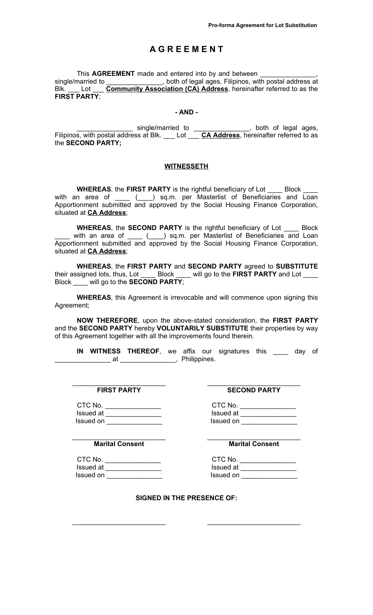## **A G R E E M E N T**

This AGREEMENT made and entered into by and between single/married to \_\_\_\_\_\_\_\_\_\_\_\_\_\_, both of legal ages, Filipinos, with postal address at Blk. \_\_\_ Lot \_\_\_ **Community Association (CA) Address**, hereinafter referred to as the **FIRST PARTY**;

## **- AND -**

**EXECUTE:** Single/married to \_\_\_\_\_\_\_\_\_\_\_\_\_\_\_, both of legal ages, Filipinos, with postal address at Blk. \_\_\_ Lot \_\_\_ **CA Address**, hereinafter referred to as the **SECOND PARTY;**

## **WITNESSETH**

**WHEREAS**, the **FIRST PARTY** is the rightful beneficiary of Lot \_\_\_\_ Block \_\_\_\_ with an area of \_\_\_\_ (\_\_\_) sq.m. per Masterlist of Beneficiaries and Loan Apportionment submitted and approved by the Social Housing Finance Corporation, situated at **CA Address**;

**WHEREAS**, the **SECOND PARTY** is the rightful beneficiary of Lot \_\_\_\_ Block \_\_\_\_ with an area of \_\_\_\_ (\_\_\_) sq.m. per Masterlist of Beneficiaries and Loan Apportionment submitted and approved by the Social Housing Finance Corporation, situated at **CA Address**;

**WHEREAS**, the **FIRST PARTY** and **SECOND PARTY** agreed to **SUBSTITUTE** their assigned lots, thus, Lot \_\_\_\_ Block \_\_\_\_ will go to the **FIRST PARTY** and Lot \_\_\_\_ Block \_\_\_\_ will go to the **SECOND PARTY**;

**WHEREAS**, this Agreement is irrevocable and will commence upon signing this Agreement;

**NOW THEREFORE**, upon the above-stated consideration, the **FIRST PARTY** and the **SECOND PARTY** hereby **VOLUNTARILY SUBSTITUTE** their properties by way of this Agreement together with all the improvements found therein.

\_\_\_\_\_\_\_\_\_\_\_\_\_\_\_\_\_\_\_\_\_\_\_\_\_ \_\_\_\_\_\_\_\_\_\_\_\_\_\_\_\_\_\_\_\_\_\_\_\_\_

**IN WITNESS THEREOF**, we affix our signatures this \_\_\_\_ day of **example 2** at \_\_\_\_\_\_\_\_\_\_\_\_\_\_\_\_\_\_, Philippines.

**FIRST PARTY SECOND PARTY**

 $\begin{array}{ccc}\n\text{CTC No.} \\
\hline\n\text{I}\n\end{array}$ Issued at \_\_\_\_\_\_\_\_\_\_\_\_\_\_\_ Issued at \_\_\_\_\_\_\_\_\_\_\_\_\_\_\_ Issued on \_\_\_\_\_\_\_\_\_\_\_\_\_\_\_ Issued on \_\_\_\_\_\_\_\_\_\_\_\_\_\_\_

\_\_\_\_\_\_\_\_\_\_\_\_\_\_\_\_\_\_\_\_\_\_\_\_\_ \_\_\_\_\_\_\_\_\_\_\_\_\_\_\_\_\_\_\_\_\_\_\_\_\_ **Marital Consent Marital Consent**

CTC No. \_\_\_\_\_\_\_\_\_\_\_\_\_\_\_ CTC No. \_\_\_\_\_\_\_\_\_\_\_\_\_\_\_ Issued at \_\_\_\_\_\_\_\_\_\_\_\_\_\_\_ Issued at \_\_\_\_\_\_\_\_\_\_\_\_\_\_\_ Issued on \_\_\_\_\_\_\_\_\_\_\_\_\_\_\_ Issued on \_\_\_\_\_\_\_\_\_\_\_\_\_\_\_

| CTC No.  |  |  |
|----------|--|--|
| ssued at |  |  |

| issued at |  |
|-----------|--|
| Issued on |  |
|           |  |

**SIGNED IN THE PRESENCE OF:**

\_\_\_\_\_\_\_\_\_\_\_\_\_\_\_\_\_\_\_\_\_\_\_\_\_ \_\_\_\_\_\_\_\_\_\_\_\_\_\_\_\_\_\_\_\_\_\_\_\_\_